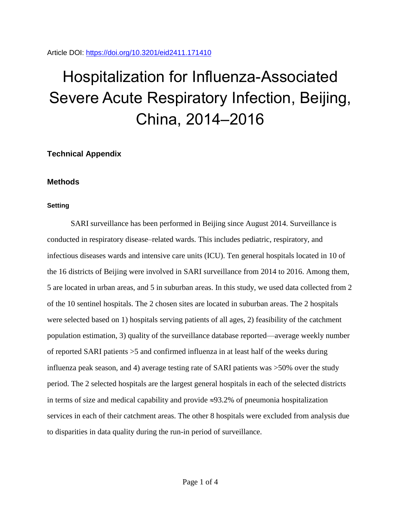Article DOI:<https://doi.org/10.3201/eid2411.171410>

# Hospitalization for Influenza-Associated Severe Acute Respiratory Infection, Beijing, China, 2014–2016

**Technical Appendix**

## **Methods**

## **Setting**

SARI surveillance has been performed in Beijing since August 2014. Surveillance is conducted in respiratory disease–related wards. This includes pediatric, respiratory, and infectious diseases wards and intensive care units (ICU). Ten general hospitals located in 10 of the 16 districts of Beijing were involved in SARI surveillance from 2014 to 2016. Among them, 5 are located in urban areas, and 5 in suburban areas. In this study, we used data collected from 2 of the 10 sentinel hospitals. The 2 chosen sites are located in suburban areas. The 2 hospitals were selected based on 1) hospitals serving patients of all ages, 2) feasibility of the catchment population estimation, 3) quality of the surveillance database reported—average weekly number of reported SARI patients >5 and confirmed influenza in at least half of the weeks during influenza peak season, and 4) average testing rate of SARI patients was >50% over the study period. The 2 selected hospitals are the largest general hospitals in each of the selected districts in terms of size and medical capability and provide  $\approx 93.2\%$  of pneumonia hospitalization services in each of their catchment areas. The other 8 hospitals were excluded from analysis due to disparities in data quality during the run-in period of surveillance.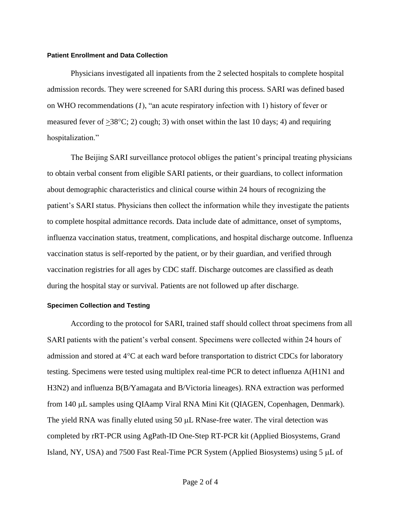#### **Patient Enrollment and Data Collection**

Physicians investigated all inpatients from the 2 selected hospitals to complete hospital admission records. They were screened for SARI during this process. SARI was defined based on WHO recommendations (*1*), "an acute respiratory infection with 1) history of fever or measured fever of  $\geq 38^{\circ}$ C; 2) cough; 3) with onset within the last 10 days; 4) and requiring hospitalization."

The Beijing SARI surveillance protocol obliges the patient's principal treating physicians to obtain verbal consent from eligible SARI patients, or their guardians, to collect information about demographic characteristics and clinical course within 24 hours of recognizing the patient's SARI status. Physicians then collect the information while they investigate the patients to complete hospital admittance records. Data include date of admittance, onset of symptoms, influenza vaccination status, treatment, complications, and hospital discharge outcome. Influenza vaccination status is self-reported by the patient, or by their guardian, and verified through vaccination registries for all ages by CDC staff. Discharge outcomes are classified as death during the hospital stay or survival. Patients are not followed up after discharge.

#### **Specimen Collection and Testing**

According to the protocol for SARI, trained staff should collect throat specimens from all SARI patients with the patient's verbal consent. Specimens were collected within 24 hours of admission and stored at  $4^{\circ}$ C at each ward before transportation to district CDCs for laboratory testing. Specimens were tested using multiplex real-time PCR to detect influenza A(H1N1 and H3N2) and influenza B(B/Yamagata and B/Victoria lineages). RNA extraction was performed from 140 µL samples using QIAamp Viral RNA Mini Kit (QIAGEN, Copenhagen, Denmark). The yield RNA was finally eluted using  $50 \mu L$  RNase-free water. The viral detection was completed by rRT-PCR using AgPath-ID One-Step RT-PCR kit (Applied Biosystems, Grand Island, NY, USA) and 7500 Fast Real-Time PCR System (Applied Biosystems) using  $5 \mu L$  of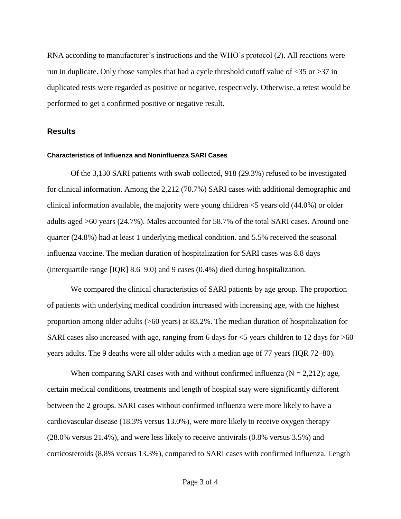RNA according to manufacturer's instructions and the WHO's protocol (*2*). All reactions were run in duplicate. Only those samples that had a cycle threshold cutoff value of <35 or >37 in duplicated tests were regarded as positive or negative, respectively. Otherwise, a retest would be performed to get a confirmed positive or negative result.

### **Results**

#### **Characteristics of Influenza and Noninfluenza SARI Cases**

Of the 3,130 SARI patients with swab collected, 918 (29.3%) refused to be investigated for clinical information. Among the 2,212 (70.7%) SARI cases with additional demographic and clinical information available, the majority were young children  $\leq$  years old (44.0%) or older adults aged >60 years (24.7%). Males accounted for 58.7% of the total SARI cases. Around one quarter (24.8%) had at least 1 underlying medical condition. and 5.5% received the seasonal influenza vaccine. The median duration of hospitalization for SARI cases was 8.8 days (interquartile range [IQR] 8.6–9.0) and 9 cases (0.4%) died during hospitalization.

We compared the clinical characteristics of SARI patients by age group. The proportion of patients with underlying medical condition increased with increasing age, with the highest proportion among older adults  $(≥60 \text{ years})$  at 83.2%. The median duration of hospitalization for SARI cases also increased with age, ranging from 6 days for  $\leq$ 5 years children to 12 days for  $\geq$ 60 years adults. The 9 deaths were all older adults with a median age of 77 years (IQR 72–80).

When comparing SARI cases with and without confirmed influenza ( $N = 2,212$ ); age, certain medical conditions, treatments and length of hospital stay were significantly different between the 2 groups. SARI cases without confirmed influenza were more likely to have a cardiovascular disease (18.3% versus 13.0%), were more likely to receive oxygen therapy (28.0% versus 21.4%), and were less likely to receive antivirals (0.8% versus 3.5%) and corticosteroids (8.8% versus 13.3%), compared to SARI cases with confirmed influenza. Length